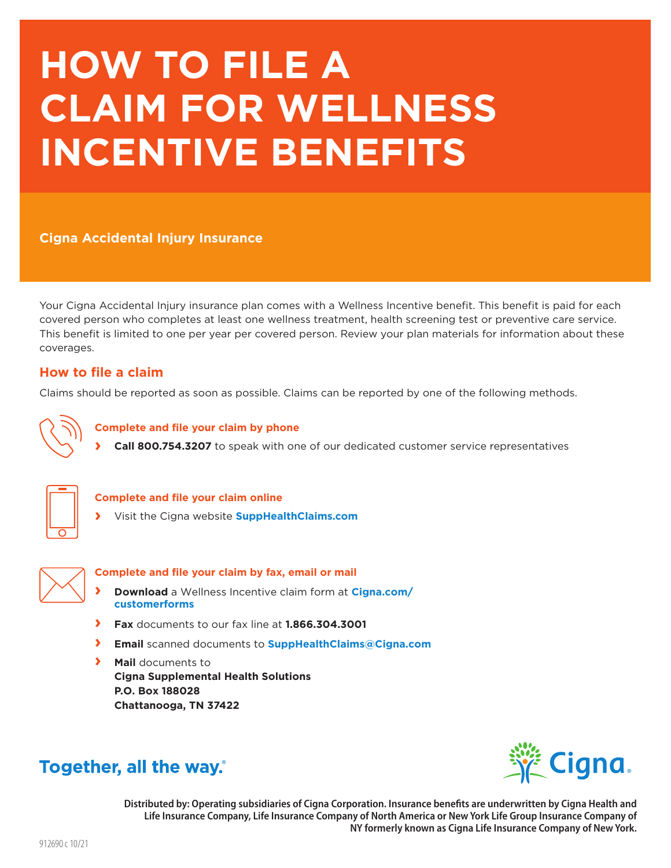# **HOW TO FILE A CLAIM FOR WELLNESS INCENTIVE BENEFITS**

**Cigna Accidental Injury Insurance** 

Your Cigna Accidental Injury insurance plan comes with a Wellness Incentive benefit. This benefit is paid for each covered person who completes at least one wellness treatment, health screening test or preventive care service. This benefit is limited to one per year per covered person. Review your plan materials for information about these coverages.

# **How to file a claim**

Claims should be reported as soon as possible. Claims can be reported by one of the following methods.



#### **Complete and file your claim by phone**

**› Call 800.754.3207** to speak with one of our dedicated customer service representatives



#### **Complete and file your claim online**

**›** Visit the Cigna website **[SuppHealthClaims.com](http://www.SuppHealthClaims.com)**



#### **Complete and file your claim by fax, email or mail**

- **› Download** [a Wellness Incentive claim form at](http://www.Cigna.com/customerforms) **Cigna.com/ customerforms**
- **› Fax** documents to our fax line at **1.866.304.3001**
- **› Email** scanned documents to **SuppHealthClaims@Cigna.com**
- **› Mail** documents to **Cigna Supplemental Health Solutions P.O. Box 188028 Chattanooga, TN 37422**



# Together, all the way.

Distributed by: Operating subsidiaries of Cigna Corporation. Insurance benefits are underwritten by Cigna Health and Life Insurance Company, Life Insurance Company of North America or New York Life Group Insurance Company of **NY formerly known as Cigna Life Insurance Company of New York.**